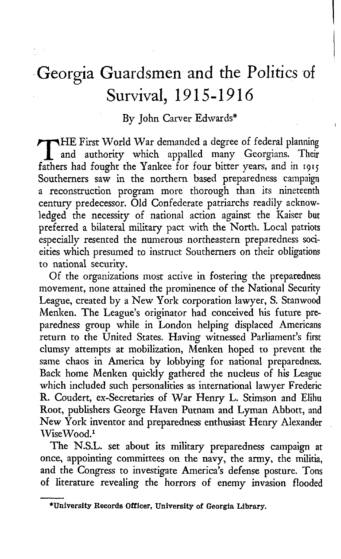## **Georgia Guardsmen and the Politics of Survival, 1915-1916**

## By John Carver Edwards\*

HE First World War demanded a degree of federal planning and authority which appalled many Georgians. Their fathers had fought the Yankee for four bitter years, and in 1915 Southerners saw in the northern based preparedness campaign a reconstruction program more thorough than its nineteenth century predecessor. Old Confederate patriarchs readily acknowledged the necessity of national action against the Kaiser but preferred a bilateral military pact with the North. Local patriots especially resented the numerous northeastern preparedness socieities which presumed to instruct Southerners on their obligations to national security.

Of the organizations most active in fostering the preparedness movement, none attained the prominence of the National Security League, created by a New York corporation lawyer, S. Stanwood Menken. The League's originator had conceived his future preparedness group while in London helping displaced Americans return to the United States. Having witnessed Parliament's first clumsy attempts at mobilization, Menken hoped to prevent the same chaos in America by lobbying for national preparedness. Back home Menken quickly gathered the nucleus of his League which included such personalities as international lawyer Frederic R. Coudert, ex-Secretaries of War Henry L. Stimson and Elihu Root, publishers George Haven Putnam and Lyman Abbott, and New York inventor and preparedness enthusiast Henry Alexander WiseWood.1

The N.S.L. set about its military preparedness campaign at once, appointing committees on the navy, the army, the militia, and the Congress to investigate America's defense posture. Tons of literature revealing the horrors of enemy invasion flooded

**<sup>♦</sup>University Records Officer, University of Georgia Library.**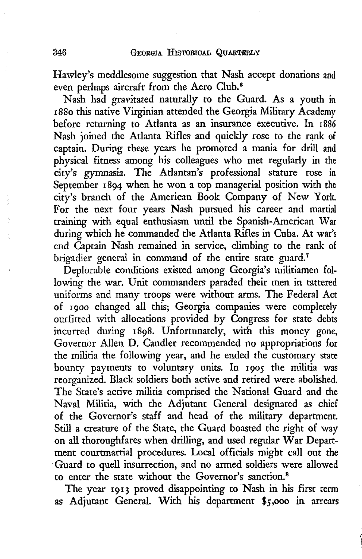Hawley's meddlesome suggestion that Nash accept donations and even perhaps aircraft from the Aero Club.<sup>6</sup>

Nash had gravitated naturally to the Guard. As a youth in 1880 this native Virginian attended the Georgia Military Academy before returning to Atlanta as an insurance executive. In 1886 Nash joined the Atlanta Rifles and quickly rose to the rank of captain. During these years he promoted a mania for drill and physical fitness among his colleagues who met regularly in the city's gymnasia. The Atlantan's professional stature rose in September 1894 when he won a top managerial position with the city's branch of the American Book Company of New York. For the next four years Nash pursued his career and martial training with equal enthusiasm until the Spanish-American War during which he commanded the Atlanta Rifles in Cuba. At war's end Captain Nash remained in service, climbing to the rank of brigadier general in command of the entire state guard.<sup>7</sup>

Deplorable conditions existed among Georgia's militiamen following the war. Unit commanders paraded their men in tattered uniforms and many troops were without arms. The Federal Act of 1900 changed all this; Georgia companies were completely outfitted with allocations provided by Congress for state debts incurred during 1898. Unfortunately, with this money gone, Governor Allen D. Candler recommended no appropriations for the militia the following year, and he ended the customary state bounty payments to voluntary units. In 1905 the militia was reorganized. Black soldiers both active and retired were abolished. The State's active militia comprised the National Guard and the Naval Militia, with the Adjutant General designated as chief of the Governor's staff and head of the military department. Still a creature of the State, the Guard boasted the right of way on all thoroughfares when drilling, and used regular War Department courtmartial procedures. Local officials might call out the Guard to quell insurrection, and no armed soldiers were allowed to enter the state without the Governor's sanction.8

The year 1913 proved disappointing to Nash in his first term as Adjutant General. With his department \$5,000 in arrears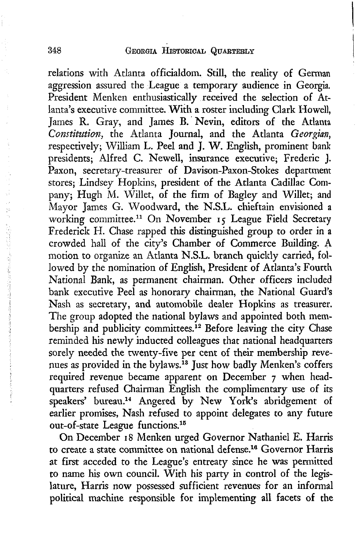relations with Atlanta officialdom. Still, the reality of German aggression assured the League a temporary audience in Georgia. President Menken enthusiastically received the selection of Atlanta's executive committee. With a roster including Clark Howell, James R. Gray, and James B. Nevin, editors of the Atlanta *Constitution,* the Atlanta Journal, and the Atlanta *Georgian,* respectively; William L. Peel and J. W. English, prominent bank presidents; Alfred C. Newell, insurance executive; Frederic J. Paxon, secretary-treasurer of Davison-Paxon-Stokes department stores; Lindsey Hopkins, president of the Atlanta Cadillac Company; Hugh M. Willet, of the firm of Bagley and Willet; and Mayor James G. Woodward, the N.S.L. chieftain envisioned a working committee.11 On November 15 League Field Secretary Frederick H. Chase rapped this distinguished group to order in a crowded hall of the city's Chamber of Commerce Building. A motion to organize an Atlanta N.S.L. branch quickly carried, followed by the nomination of English, President of Atlanta's Fourth National Bank, as permanent chairman. Other officers included bank executive Peel as honorary chairman, the National Guard's Nash as secretary, and automobile dealer Hopkins as treasurer. The group adopted the national bylaws and appointed both membership and publicity committees.<sup>12</sup> Before leaving the city Chase reminded his newly inducted colleagues that national headquarters sorely needed the twenty-five per cent of their membership revenues as provided in the bylaws.13 Just how badly Menken's coffers required revenue became apparent on December 7 when headquarters refused Chairman English the complimentary use of its speakers' bureau.14 Angered by New York's abridgement of earlier promises, Nash refused to appoint delegates to any future out-of-state League functions.15

On December 18 Menken urged Governor Nathaniel E. Harris to create a state committee on national defense.16 Governor Harris at first acceded to the League's entreaty since he was permitted to name his own council. With his party in control of the legislature, Harris now possessed sufficient revenues for an informal political machine responsible for implementing all facets of the

ř,

1、一个人的人,不是一个人的人的人的人的人的人的人的人。<br>2、一个人的人的人的人的人的人的人的人的人的人的人,但是我们的人的人的人的人。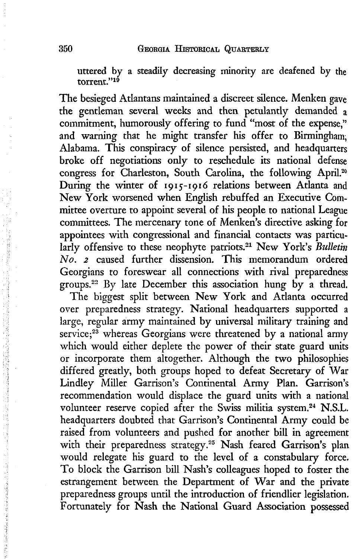uttered by a steadily decreasing minority are deafened by the torrent."<sup>19</sup>

The besieged Atlantans maintained a discreet silence. Menken gave the gentleman several weeks and then petulantly demanded a commitment, humorously offering to fund "most of the expense," and warning that he might transfer his offer to Birmingham, Alabama. This conspiracy of silence persisted, and headquarters broke off negotiations only to reschedule its national defense congress for Charleston, South Carolina, the following April.20 During the winter of 1915-1916 relations between Atlanta and New York worsened when English rebuffed an Executive Committee overture to appoint several of his people to national League committees. The mercenary tone of Menken's directive asking for appointees with congressional and financial contacts was particularly offensive to these neophyte patriots.<sup>21</sup> New York's *Bulletin No. 2* caused further dissension. This memorandum ordered Georgians to foreswear all connections with rival preparedness groups.22 By late December this association hung by a thread.

The biggest split between New York and Atlanta occurred over preparedness strategy. National headquarters supported a large, regular army maintained by universal military training and service; $23$  whereas Georgians were threatened by a national army which would either deplete the power of their state guard units or incorporate them altogether. Although the two philosophies differed greatly, both groups hoped to defeat Secretary of War Lindley Miller Garrison's Continental Army Plan. Garrison's recommendation would displace the guard units with a national volunteer reserve copied after the Swiss militia system.<sup>24</sup> N.S.L. headquarters doubted that Garrison's Continental Army could be raised from volunteers and pushed for another bill in agreement with their preparedness strategy.<sup>25</sup> Nash feared Garrison's plan would relegate his guard to the level of a constabulary force. To block the Garrison bill Nash's colleagues hoped to foster the estrangement between the Department of War and the private preparedness groups until the introduction of friendlier legislation. Fortunately for Nash the National Guard Association possessed

行为生育基督教学

医心急性肾炎病毒 医子宫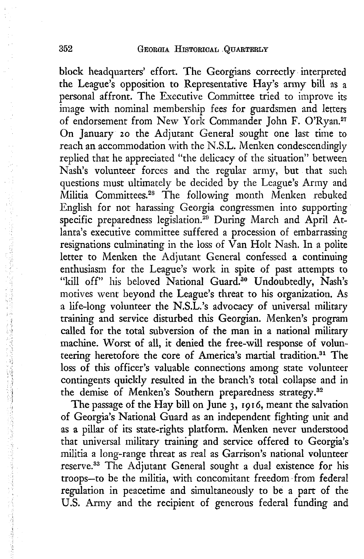block headquarters' effort. The Georgians correctly interpreted the League's opposition to Representative Hay's army bill as a personal affront. The Executive Committee tried to improve its image with nominal membership fees for guardsmen and letters of endorsement from New York Commander John F. O'Ryan.<sup>27</sup> On January 20 the Adjutant General sought one last time to reach an accommodation with the N.S.L. Menken condescendingly replied that he appreciated "the delicacy of the situation" between Nash's volunteer forces and the regular army, but that such questions must ultimately be decided by the League's Army and Militia Committees.28 The following month Menken rebuked English for not harassing Georgia congressmen into supporting specific preparedness legislation.<sup>29</sup> During March and April Atlanta's executive committee suffered a procession of embarrassing resignations culminating in the loss of  $\hat{V}$ an Holt Nash. In a polite letter to Menken the Adjutant General confessed a continuing enthusiasm for the League's work in spite of past attempts to "kill off" his beloved National Guard.<sup>30</sup> Undoubtedly, Nash's motives went beyond the League's threat to his organization. As a life-long volunteer the N.S.L.'s advocacy of universal military training and service disturbed this Georgian. Menken's program called for the total subversion of the man in a national military machine. Worst of all, it denied the free-will response of volunteering heretofore the core of America's martial tradition.<sup>31</sup> The loss of this officer's valuable connections among state volunteer contingents quickly resulted in the branch's total collapse and in the demise of Menken's Southern preparedness strategy.<sup>32</sup>

The passage of the Hay bill on June 3, 1916, meant the salvation of Georgia's National Guard as an independent fighting unit and as a pillar of its state-rights platform. Menken never understood that universal military training and service offered to Georgia's militia a long-range threat as real as Garrison's national volunteer reserve.33 The Adjutant General sought a dual existence for his troops—to be the militia, with concomitant freedom from federal regulation in peacetime and simultaneously to be a part of the U.S. Army and the recipient of generous federal funding and